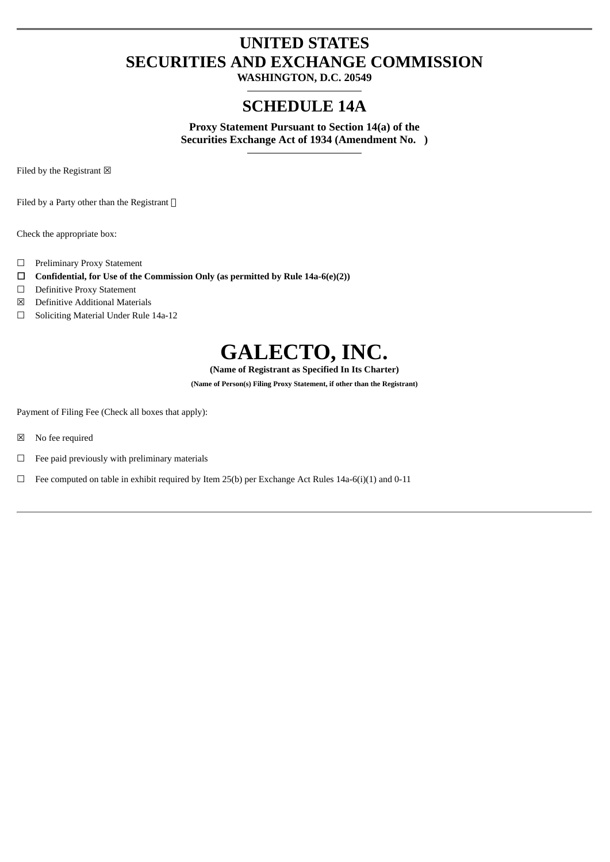## **UNITED STATES SECURITIES AND EXCHANGE COMMISSION**

**WASHINGTON, D.C. 20549**

### **SCHEDULE 14A**

**Proxy Statement Pursuant to Section 14(a) of the Securities Exchange Act of 1934 (Amendment No. )**

Filed by the Registrant  $\boxtimes$ 

Filed by a Party other than the Registrant  $\square$ 

Check the appropriate box:

- ☐ Preliminary Proxy Statement
- ☐ **Confidential, for Use of the Commission Only (as permitted by Rule 14a-6(e)(2))**
- ☐ Definitive Proxy Statement
- ☒ Definitive Additional Materials
- ☐ Soliciting Material Under Rule 14a-12

# **GALECTO, INC.**

**(Name of Registrant as Specified In Its Charter)**

**(Name of Person(s) Filing Proxy Statement, if other than the Registrant)**

Payment of Filing Fee (Check all boxes that apply):

- ☒ No fee required
- $\Box$  Fee paid previously with preliminary materials
- $\Box$  Fee computed on table in exhibit required by Item 25(b) per Exchange Act Rules 14a-6(i)(1) and 0-11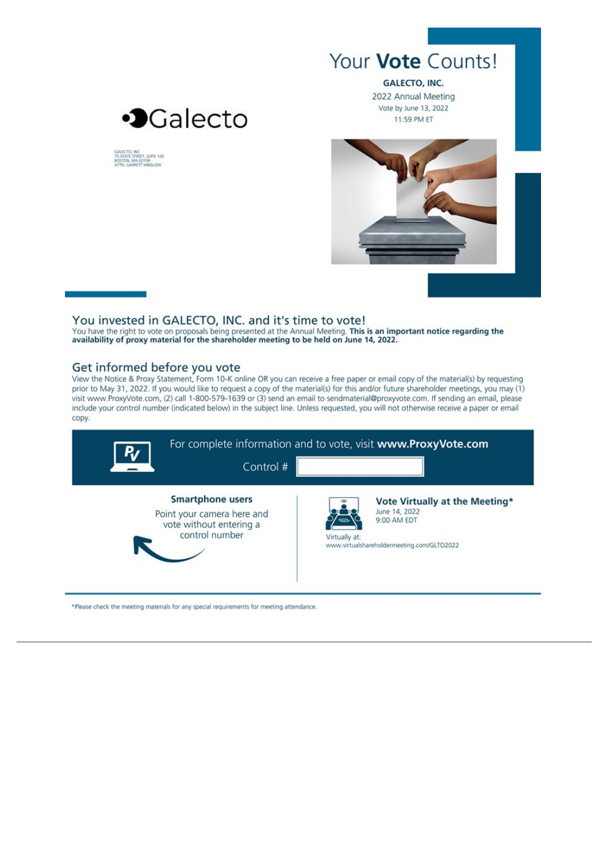

**GALECTO, INC.** 2022 Annual Meeting Vote by June 13, 2022 11:59 PM ET



GALECTO, INC.<br>75 STATE STREET, SUITE 100<br>BOSTON, MA 02109<br>ATTN: GARRETT WINSLOW



#### You invested in GALECTO, INC. and it's time to vote!

You have the right to vote on proposals being presented at the Annual Meeting. This is an important notice regarding the availability of proxy material for the shareholder meeting to be held on June 14, 2022.

#### Get informed before you vote

View the Notice & Proxy Statement, Form 10-K online OR you can receive a free paper or email copy of the material(s) by requesting prior to May 31, 2022. If you would like to request a copy of the material(s) for this and/or future shareholder meetings, you may (1) visit www.ProxyVote.com, (2) call 1-800-579-1639 or (3) send an email to sendmaterial@proxyvote.com. If sending an email, please include your control number (indicated below) in the subject line. Unless requested, you will not otherwise receive a paper or email copy.



\*Please check the meeting materials for any special requirements for meeting attendance.